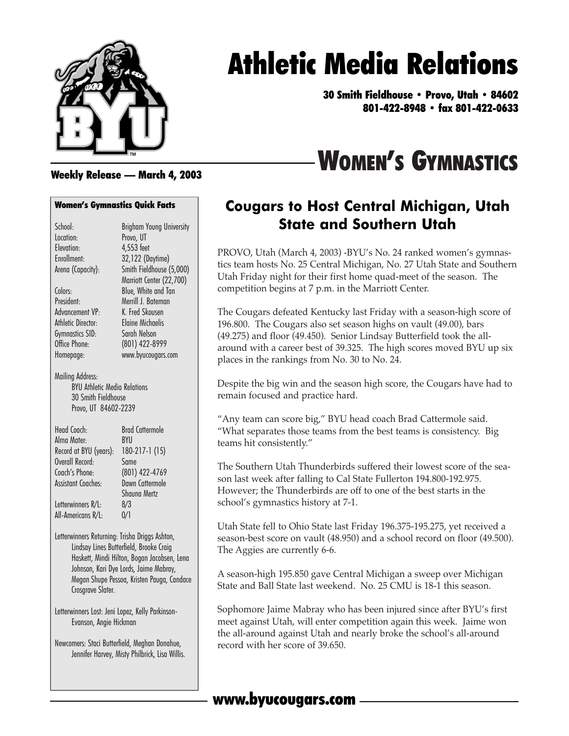

# Athletic Media Relations

30 Smith Fieldhouse • Provo, Utah • 84602 801-422-8948 • fax 801-422-0633

# WOMEN'S GYMNASTICS

#### Weekly Release — March 4, 2003

#### Women's Gymnastics Quick Facts

| School:                                                                                                | <b>Brigham Young University</b>         |
|--------------------------------------------------------------------------------------------------------|-----------------------------------------|
| Location:                                                                                              | Provo, UT                               |
| Elevation:                                                                                             | 4,553 feet                              |
| Enrollment:                                                                                            | 32,122 (Daytime)                        |
| Arena (Capacity):                                                                                      | Smith Fieldhouse (5,000)                |
|                                                                                                        | Marriott Center (22,700)                |
| Colors:                                                                                                | Blue, White and Tan                     |
| President:                                                                                             | Merrill J. Bateman                      |
| Advancement VP.                                                                                        | K. Fred Skousen                         |
| Athletic Director:                                                                                     | <b>Elaine Michaelis</b>                 |
| Gymnastics SID:                                                                                        | Sarah Nelson                            |
| Office Phone:                                                                                          | (801) 422-8999                          |
| Homepage:                                                                                              | www.byucougars.com                      |
|                                                                                                        |                                         |
| Mailing Address:<br><b>BYU Athletic Media Relations</b><br>30 Smith Fieldhouse<br>Provo, UT 84602-2239 |                                         |
| Head Coach.                                                                                            | <b>Brad Cattermole</b>                  |
| Alma Mater-                                                                                            | <b>BYU</b>                              |
| Record at BYU (years):                                                                                 | 180-217-1 (15)                          |
| Overall Record.                                                                                        | Same                                    |
| Coach's Phone:                                                                                         | (801) 422-4769                          |
| <b>Assistant Coaches:</b>                                                                              | Dawn Cattermole                         |
|                                                                                                        | Shauna Mertz                            |
| Letterwinners R/L:                                                                                     | 8/3                                     |
| All-Americans R/L:                                                                                     | 0/1                                     |
|                                                                                                        |                                         |
| Letterwinners Returning: Trisha Driggs Ashton,                                                         | Lindsav Lines Butterfield, Brooke Craia |

Lindsay Lines Butterfield, Brooke Craig Haskett, Mindi Hilton, Bogan Jacobsen, Lena Johnson, Kari Dye Lords, Jaime Mabray, Megan Shupe Pessoa, Kristen Pauga, Candace Crosgrave Slater.

Letterwinners Lost: Jeni Lopez, Kelly Parkinson-Evanson, Angie Hickman

Newcomers: Staci Butterfield, Meghan Donahue, Jennifer Harvey, Misty Philbrick, Lisa Willis.

### **Cougars to Host Central Michigan, Utah State and Southern Utah**

PROVO, Utah (March 4, 2003) -BYU's No. 24 ranked women's gymnastics team hosts No. 25 Central Michigan, No. 27 Utah State and Southern Utah Friday night for their first home quad-meet of the season. The competition begins at 7 p.m. in the Marriott Center.

The Cougars defeated Kentucky last Friday with a season-high score of 196.800. The Cougars also set season highs on vault (49.00), bars (49.275) and floor (49.450). Senior Lindsay Butterfield took the allaround with a career best of 39.325. The high scores moved BYU up six places in the rankings from No. 30 to No. 24.

Despite the big win and the season high score, the Cougars have had to remain focused and practice hard.

"Any team can score big," BYU head coach Brad Cattermole said. "What separates those teams from the best teams is consistency. Big teams hit consistently."

The Southern Utah Thunderbirds suffered their lowest score of the season last week after falling to Cal State Fullerton 194.800-192.975. However; the Thunderbirds are off to one of the best starts in the school's gymnastics history at 7-1.

Utah State fell to Ohio State last Friday 196.375-195.275, yet received a season-best score on vault (48.950) and a school record on floor (49.500). The Aggies are currently 6-6.

A season-high 195.850 gave Central Michigan a sweep over Michigan State and Ball State last weekend. No. 25 CMU is 18-1 this season.

Sophomore Jaime Mabray who has been injured since after BYU's first meet against Utah, will enter competition again this week. Jaime won the all-around against Utah and nearly broke the school's all-around record with her score of 39.650.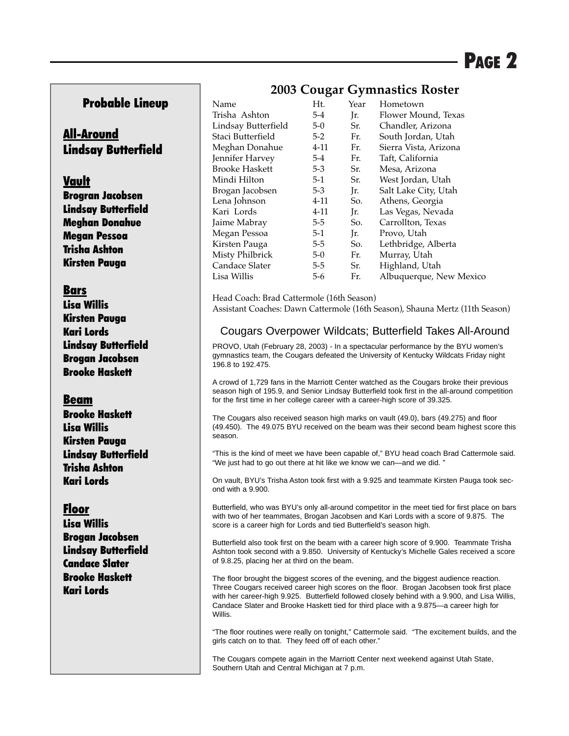#### Probable Lineup

#### All-Around Lindsay Butterfield

#### Vault

Brogran Jacobsen Lindsay Butterfield Meghan Donahue Megan Pessoa Trisha Ashton Kirsten Pauga

#### Bars

Lisa Willis Kirsten Pauga Kari Lords Lindsay Butterfield Brogan Jacobsen Brooke Haskett

#### Beam

Brooke Haskett Lisa Willis Kirsten Pauga Lindsay Butterfield Trisha Ashton Kari Lords

### Floor

Lisa Willis Brogan Jacobsen Lindsay Butterfield Candace Slater Brooke Haskett Kari Lords

### **2003 Cougar Gymnastics Roster**

| Name                  | Ht.      | Year | Hometown                |
|-----------------------|----------|------|-------------------------|
| Trisha Ashton         | $5 - 4$  | Jr.  | Flower Mound, Texas     |
| Lindsay Butterfield   | $5-0$    | Sr.  | Chandler, Arizona       |
| Staci Butterfield     | $5-2$    | Fr.  | South Jordan, Utah      |
| Meghan Donahue        | $4 - 11$ | Fr.  | Sierra Vista, Arizona   |
| Jennifer Harvey       | $5 - 4$  | Fr.  | Taft, California        |
| <b>Brooke Haskett</b> | $5 - 3$  | Sr.  | Mesa, Arizona           |
| Mindi Hilton          | $5-1$    | Sr.  | West Jordan, Utah       |
| Brogan Jacobsen       | $5 - 3$  | Jr.  | Salt Lake City, Utah    |
| Lena Johnson          | 4-11     | So.  | Athens, Georgia         |
| Kari Lords            | $4 - 11$ | Ir.  | Las Vegas, Nevada       |
| Jaime Mabray          | $5 - 5$  | So.  | Carrollton, Texas       |
| Megan Pessoa          | $5-1$    | Jr.  | Provo, Utah             |
| Kirsten Pauga         | $5-5$    | So.  | Lethbridge, Alberta     |
| Misty Philbrick       | $5-0$    | Fr.  | Murray, Utah            |
| Candace Slater        | $5-5$    | Sr.  | Highland, Utah          |
| Lisa Willis           | $5 - 6$  | Fr.  | Albuquerque, New Mexico |

Head Coach: Brad Cattermole (16th Season) Assistant Coaches: Dawn Cattermole (16th Season), Shauna Mertz (11th Season)

#### Cougars Overpower Wildcats; Butterfield Takes All-Around

PROVO, Utah (February 28, 2003) - In a spectacular performance by the BYU women's gymnastics team, the Cougars defeated the University of Kentucky Wildcats Friday night 196.8 to 192.475.

A crowd of 1,729 fans in the Marriott Center watched as the Cougars broke their previous season high of 195.9, and Senior Lindsay Butterfield took first in the all-around competition for the first time in her college career with a career-high score of 39.325.

The Cougars also received season high marks on vault (49.0), bars (49.275) and floor (49.450). The 49.075 BYU received on the beam was their second beam highest score this season.

"This is the kind of meet we have been capable of," BYU head coach Brad Cattermole said. "We just had to go out there at hit like we know we can—and we did. "

On vault, BYU's Trisha Aston took first with a 9.925 and teammate Kirsten Pauga took second with a 9.900.

Butterfield, who was BYU's only all-around competitor in the meet tied for first place on bars with two of her teammates, Brogan Jacobsen and Kari Lords with a score of 9.875. The score is a career high for Lords and tied Butterfield's season high.

Butterfield also took first on the beam with a career high score of 9.900. Teammate Trisha Ashton took second with a 9.850. University of Kentucky's Michelle Gales received a score of 9.8.25, placing her at third on the beam.

The floor brought the biggest scores of the evening, and the biggest audience reaction. Three Cougars received career high scores on the floor. Brogan Jacobsen took first place with her career-high 9.925. Butterfield followed closely behind with a 9.900, and Lisa Willis, Candace Slater and Brooke Haskett tied for third place with a 9.875—a career high for Willis.

"The floor routines were really on tonight," Cattermole said. "The excitement builds, and the girls catch on to that. They feed off of each other."

The Cougars compete again in the Marriott Center next weekend against Utah State, Southern Utah and Central Michigan at 7 p.m.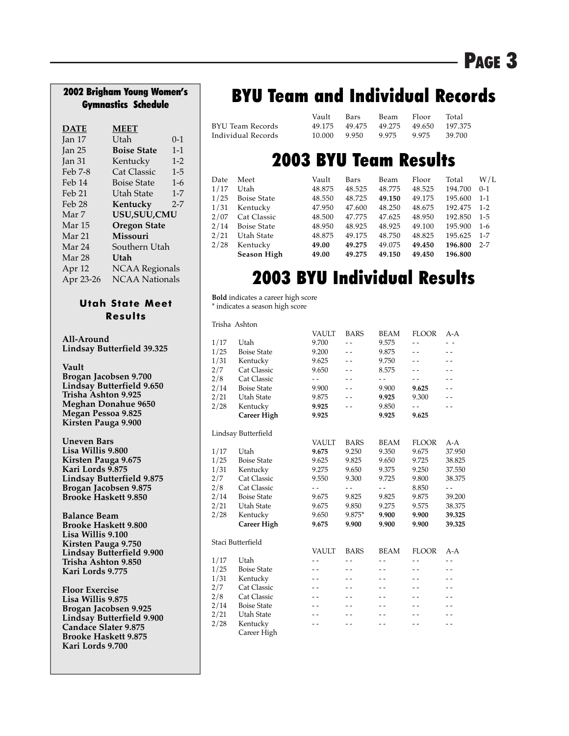### PAGE 3

## Gymnastics Schedule

| <b>DATE</b>       | <b>MEET</b>           |         |
|-------------------|-----------------------|---------|
| Jan 17            | Utah                  | $0 - 1$ |
| Jan <sub>25</sub> | <b>Boise State</b>    | $1 - 1$ |
| Jan 31            | Kentucky              | $1 - 2$ |
| Feb 7-8           | <b>Cat Classic</b>    | $1 - 5$ |
| Feb 14            | <b>Boise State</b>    | $1-6$   |
| Feb 21            | Utah State            | $1 - 7$ |
| Feb 28            | Kentucky              | $2 - 7$ |
| Mar 7             | USU, SUU, CMU         |         |
| Mar 15            | <b>Oregon State</b>   |         |
| Mar 21            | <b>Missouri</b>       |         |
| Mar 24            | Southern Utah         |         |
| Mar 28            | Utah                  |         |
| Apr 12            | <b>NCAA Regionals</b> |         |
| Apr 23-26         | <b>NCAA</b> Nationals |         |

#### **Utah State Meet Results**

**All-Around Lindsay Butterfield 39.325**

**Vault**

**Brogan Jacobsen 9.700 Lindsay Butterfield 9.650 Trisha Ashton 9.925 Meghan Donahue 9650 Megan Pessoa 9.825 Kirsten Pauga 9.900**

**Uneven Bars Lisa Willis 9.800 Kirsten Pauga 9.675 Kari Lords 9.875 Lindsay Butterfield 9.875 Brogan Jacobsen 9.875 Brooke Haskett 9.850**

**Balance Beam Brooke Haskett 9.800 Lisa Willis 9.100 Kirsten Pauga 9.750 Lindsay Butterfield 9.900 Trisha Ashton 9.850 Kari Lords 9.775**

**Floor Exercise Lisa Willis 9.875 Brogan Jacobsen 9.925 Lindsay Butterfield 9.900 Candace Slater 9.875 Brooke Haskett 9.875 Kari Lords 9.700**

### 2002 Brigham Young Women's **BYU Team and Individual Records**

| Vault  | Bars  | Beam          | Floor | Total         |
|--------|-------|---------------|-------|---------------|
|        |       |               |       | 197.375       |
| 10.000 | 9.950 | 9.975         | 9.975 | -39.700       |
|        |       | 49.175 49.475 |       | 49.275 49.650 |

### 2003 BYU Team Results

| Date | Meet               | Vault  | Bars   | Beam   | Floor  | Total   | W/L     |
|------|--------------------|--------|--------|--------|--------|---------|---------|
| 1/17 | Utah               | 48.875 | 48.525 | 48.775 | 48.525 | 194.700 | $0 - 1$ |
| 1/25 | <b>Boise State</b> | 48.550 | 48.725 | 49.150 | 49.175 | 195.600 | $1 - 1$ |
| 1/31 | Kentucky           | 47.950 | 47.600 | 48.250 | 48.675 | 192.475 | $1 - 2$ |
| 2/07 | Cat Classic        | 48.500 | 47.775 | 47.625 | 48.950 | 192.850 | $1 - 5$ |
| 2/14 | <b>Boise State</b> | 48.950 | 48.925 | 48.925 | 49.100 | 195.900 | $1-6$   |
| 2/21 | Utah State         | 48.875 | 49.175 | 48.750 | 48.825 | 195.625 | $1 - 7$ |
| 2/28 | Kentucky           | 49.00  | 49.275 | 49.075 | 49.450 | 196.800 | $2 - 7$ |
|      | <b>Season High</b> | 49.00  | 49.275 | 49.150 | 49.450 | 196.800 |         |

### 2003 BYU Individual Results

**Bold** indicates a career high score \* indicates a season high score

Trisha Ashton

|      |                     | VAULT          | BARS           | BEAM                     | <b>FLOOR</b>             | A-A                      |
|------|---------------------|----------------|----------------|--------------------------|--------------------------|--------------------------|
| 1/17 | Utah                | 9.700          |                | 9.575                    |                          |                          |
| 1/25 | <b>Boise State</b>  | 9.200          | $-$            | 9.875                    | $-$                      | $ -$                     |
| 1/31 | Kentucky            | 9.625          |                | 9.750                    | $ -$                     | $ -$                     |
| 2/7  | Cat Classic         | 9.650          | $ -$           | 8.575                    | $ -$                     | $-$                      |
| 2/8  | Cat Classic         | $ -$           | $ -$           | $ -$                     | $-$                      | $-$                      |
| 2/14 | <b>Boise State</b>  | 9.900          | $\overline{a}$ | 9.900                    | 9.625                    | $\sim$ $\sim$            |
| 2/21 | Utah State          | 9.875          | $\overline{a}$ | 9.925                    | 9.300                    | $\overline{\phantom{a}}$ |
| 2/28 | Kentucky            | 9.925          | $ -$           | 9.850                    |                          | $ -$                     |
|      | <b>Career High</b>  | 9.925          |                | 9.925                    | 9.625                    |                          |
|      | Lindsay Butterfield |                |                |                          |                          |                          |
|      |                     | <b>VAULT</b>   | <b>BARS</b>    | <b>BEAM</b>              | <b>FLOOR</b>             | $A-A$                    |
| 1/17 | Utah                | 9.675          | 9.250          | 9.350                    | 9.675                    | 37.950                   |
| 1/25 | <b>Boise State</b>  | 9.625          | 9.825          | 9.650                    | 9.725                    | 38.825                   |
| 1/31 | Kentucky            | 9.275          | 9.650          | 9.375                    | 9.250                    | 37.550                   |
| 2/7  | Cat Classic         | 9.550          | 9.300          | 9.725                    | 9.800                    | 38.375                   |
| 2/8  | Cat Classic         | - -            | - -            | - -                      | 8.850                    | - -                      |
| 2/14 | <b>Boise State</b>  | 9.675          | 9.825          | 9.825                    | 9.875                    | 39.200                   |
| 2/21 | Utah State          | 9.675          | 9.850          | 9.275                    | 9.575                    | 38.375                   |
| 2/28 | Kentucky            | 9.650          | 9.875*         | 9.900                    | 9.900                    | 39.325                   |
|      | <b>Career High</b>  | 9.675          | 9.900          | 9.900                    | 9.900                    | 39.325                   |
|      | Staci Butterfield   |                |                |                          |                          |                          |
|      |                     | <b>VAULT</b>   | <b>BARS</b>    | <b>BEAM</b>              | <b>FLOOR</b>             | $A-A$                    |
| 1/17 | Utah                | $\overline{a}$ |                | $\overline{a}$           |                          | $\overline{a}$           |
| 1/25 | <b>Boise State</b>  | $\sim$ $\sim$  | $ -$           | $-$                      | $ -$                     | $ -$                     |
| 1/31 | Kentucky            | $\sim$ $\sim$  | $ -$           | $ -$                     | $ -$                     | $ -$                     |
| 2/7  | Cat Classic         | $ -$           | $ -$           | $\overline{\phantom{a}}$ | $\overline{\phantom{a}}$ | $ -$                     |
| 2/8  | Cat Classic         | $ -$           | $ -$           | $\overline{a}$           | $\overline{a}$           | $\overline{\phantom{a}}$ |
| 2/14 | <b>Boise State</b>  |                |                | $ -$                     | $\overline{\phantom{a}}$ | $-$                      |
| 2/21 | Utah State          |                |                | $ -$                     | $ -$                     | $ -$                     |
| 2/28 | Kentucky            |                |                |                          |                          | $-$                      |
|      | Career High         |                |                |                          |                          |                          |
|      |                     |                |                |                          |                          |                          |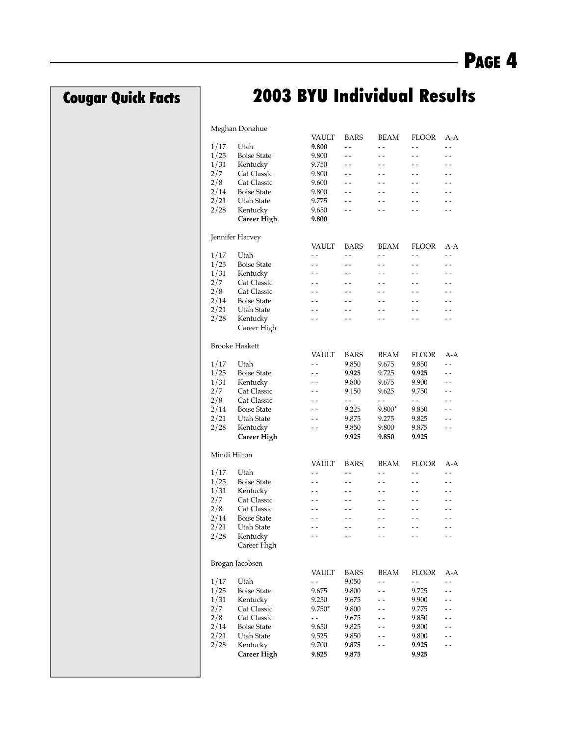### Cougar Quick Facts

### 2003 BYU Individual Results

#### Meghan Donahue

|              |                       | <b>VAULT</b> | <b>BARS</b>              | <b>BEAM</b>              | <b>FLOOR</b>             | A-A                      |
|--------------|-----------------------|--------------|--------------------------|--------------------------|--------------------------|--------------------------|
| 1/17         | Utah                  | 9.800        | - -                      | - -                      | $ -$                     | $ -$                     |
| 1/25         | <b>Boise State</b>    | 9.800        | $ -$                     | $-$                      | $-$                      | - -                      |
| 1/31         | Kentucky              | 9.750        | - -                      | - -                      | - -                      | - -                      |
| 2/7          | Cat Classic           |              | $-$                      | $-$                      | $-$                      | $-$                      |
|              |                       | 9.800        |                          |                          |                          |                          |
| 2/8          | Cat Classic           | 9.600        | $-$                      | $-$                      |                          |                          |
| 2/14         | <b>Boise State</b>    | 9.800        | $-$                      | $-$                      |                          |                          |
| 2/21         | Utah State            | 9.775        | - -                      | - -                      | - -                      |                          |
| 2/28         | Kentucky              | 9.650        | $\overline{\phantom{a}}$ | $-$                      |                          | $\overline{\phantom{a}}$ |
|              | Career High           | 9.800        |                          |                          |                          |                          |
|              |                       |              |                          |                          |                          |                          |
|              | Jennifer Harvey       |              |                          |                          |                          |                          |
|              |                       | <b>VAULT</b> | <b>BARS</b>              | <b>BEAM</b>              | FLOOR                    | A-A                      |
| 1/17         | Utah                  | $ -$         | $ -$                     | $ -$                     | $ -$                     | $ -$                     |
| 1/25         | <b>Boise State</b>    | - -          | $-$                      | $-$                      | $-$                      | $-$                      |
| 1/31         | Kentucky              | - -          | - -                      | - -                      | - -                      | - -                      |
| 2/7          | Cat Classic           | $-$          | $-$                      | $-$                      | $-$                      | $-$                      |
| 2/8          | Cat Classic           |              |                          | $-$                      | $-$                      |                          |
| 2/14         | <b>Boise State</b>    |              |                          | $-$                      |                          |                          |
| 2/21         | Utah State            |              | $-$                      |                          | $-$                      |                          |
|              |                       | - -          |                          | - -                      |                          |                          |
| 2/28         | Kentucky              | $-$          | $-$                      | $-$                      | $-$                      | $-$                      |
|              | Career High           |              |                          |                          |                          |                          |
|              |                       |              |                          |                          |                          |                          |
|              | <b>Brooke Haskett</b> |              |                          |                          |                          |                          |
|              |                       | VAULT        | <b>BARS</b>              | BEAM                     | FLOOR                    | A-A                      |
| 1/17         | Utah                  | $ -$         | 9.850                    | 9.675                    | 9.850                    | $\overline{a}$           |
| 1/25         | <b>Boise State</b>    | - -          | 9.925                    | 9.725                    | 9.925                    | $-$                      |
| 1/31         | Kentucky              | - -          | 9.800                    | 9.675                    | 9.900                    | $\overline{a}$           |
| 2/7          | Cat Classic           | - -          | 9.150                    | 9.625                    | 9.750                    | $-$                      |
| 2/8          | Cat Classic           |              | $\overline{\phantom{a}}$ | $\overline{\phantom{a}}$ | $-$                      |                          |
| 2/14         | <b>Boise State</b>    | - -          | 9.225                    | $9.800*$                 | 9.850                    | $-$                      |
| 2/21         | Utah State            | - -          | 9.875                    | 9.275                    | 9.825                    | - -                      |
| 2/28         | Kentucky              | - -          | 9.850                    | 9.800                    | 9.875                    | $-$                      |
|              | Career High           |              | 9.925                    | 9.850                    | 9.925                    |                          |
|              |                       |              |                          |                          |                          |                          |
| Mindi Hilton |                       |              |                          |                          |                          |                          |
|              |                       | VAULT        |                          |                          |                          |                          |
|              |                       |              | <b>BARS</b>              | <b>BEAM</b>              | FLOOR                    | A-A                      |
| 1/17         | Utah                  | - -          | - -                      | $ -$                     | - -                      | - -                      |
| 1/25         | <b>Boise State</b>    | - -          | $-$                      | $-$                      | $-$                      | $-$                      |
| 1/31         | Kentucky              | - -          | - -                      | - -                      | - -                      | - -                      |
| 2/7          | Cat Classic           | - -          | $-$                      | $-$                      | $-$                      | $-$                      |
| 2/8          | Cat Classic           |              |                          | - -                      | $-$                      |                          |
| 2/14         | <b>Boise State</b>    |              |                          | - -                      |                          |                          |
| 2/21         | Utah State            |              |                          | - -                      | $\overline{\phantom{0}}$ |                          |
| 2/28         | Kentucky              | - -          | $-$                      | $-$                      | $-$                      | $-$                      |
|              | Career High           |              |                          |                          |                          |                          |
|              |                       |              |                          |                          |                          |                          |
|              | Brogan Jacobsen       |              |                          |                          |                          |                          |
|              |                       | VAULT        | BARS                     | BEAM                     | FLOOR                    | A-A                      |
| 1/17         | Utah                  |              | 9.050                    |                          |                          |                          |
|              |                       | - -          |                          | - -                      | $-$                      |                          |
| 1/25         | <b>Boise State</b>    | 9.675        | 9.800                    | $-$                      | 9.725                    |                          |
| 1/31         | Kentucky              | 9.250        | 9.675                    |                          | 9.900                    |                          |
| 2/7          | Cat Classic           | $9.750*$     | 9.800                    |                          | 9.775                    |                          |
| 2/8          | Cat Classic           | - -          | 9.675                    |                          | 9.850                    |                          |
| 2/14         | <b>Boise State</b>    | 9.650        | 9.825                    |                          | 9.800                    |                          |
| 2/21         | Utah State            | 9.525        | 9.850                    |                          | 9.800                    |                          |
| 2/28         | Kentucky              | 9.700        | 9.875                    |                          | 9.925                    |                          |
|              | Career High           | 9.825        | 9.875                    |                          | 9.925                    |                          |
|              |                       |              |                          |                          |                          |                          |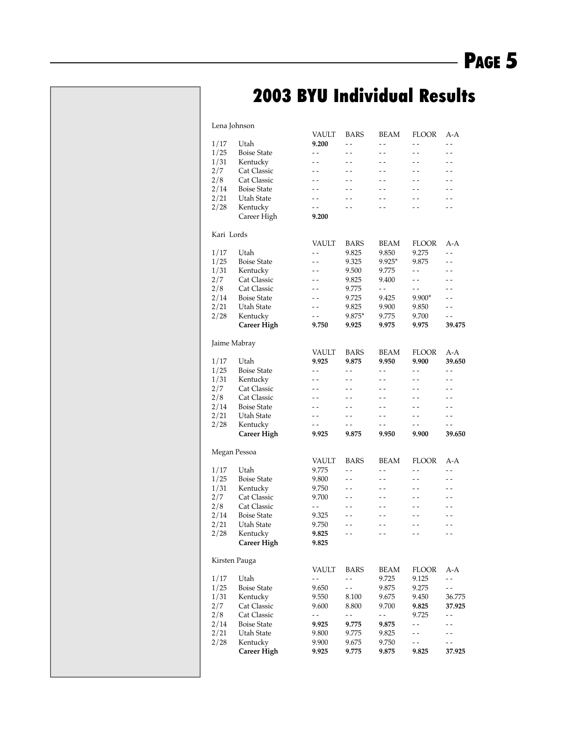### 2003 BYU Individual Results

|            | Lena Johnson       |                          |                          |                          |                          |                          |
|------------|--------------------|--------------------------|--------------------------|--------------------------|--------------------------|--------------------------|
|            |                    | VAULT                    | <b>BARS</b>              | <b>BEAM</b>              | <b>FLOOR</b>             | A-A                      |
| 1/17       | Utah               | 9.200                    | $ -$                     | $ -$                     | $ -$                     | $ -$                     |
| 1/25       | <b>Boise State</b> | $ -$                     | $\overline{\phantom{a}}$ | $\overline{a}$           | $\overline{a}$           | $\overline{a}$           |
| 1/31       | Kentucky           | $-$                      | $-$                      | $-$                      | $-$                      |                          |
| 2/7        | Cat Classic        | $\overline{\phantom{a}}$ | - -                      | - -                      | - -                      | $\overline{\phantom{a}}$ |
| 2/8        | <b>Cat Classic</b> | $-$                      | $ -$                     | $ -$                     | $ -$                     | $ -$                     |
| 2/14       | <b>Boise State</b> | $ -$                     | $-$                      | $\overline{\phantom{a}}$ | $\overline{\phantom{a}}$ | $\overline{a}$           |
| 2/21       | Utah State         | - -                      |                          |                          |                          |                          |
| 2/28       | Kentucky           | $ -$                     | . .                      | . .                      | - -                      | - -                      |
|            |                    | 9.200                    |                          |                          |                          |                          |
|            | Career High        |                          |                          |                          |                          |                          |
| Kari Lords |                    |                          |                          |                          |                          |                          |
|            |                    | VAULT                    | <b>BARS</b>              | BEAM                     | <b>FLOOR</b>             | A-A                      |
|            | Utah               |                          |                          |                          |                          | $\overline{\phantom{a}}$ |
| 1/17       |                    | $-$                      | 9.825                    | 9.850                    | 9.275                    |                          |
| 1/25       | <b>Boise State</b> | $-$                      | 9.325                    | $9.925*$                 | 9.875                    | $\overline{a}$           |
| 1/31       | Kentucky           | - -                      | 9.500                    | 9.775                    | $ -$                     |                          |
| 2/7        | <b>Cat Classic</b> | - -                      | 9.825                    | 9.400                    | $ -$                     | $ -$                     |
| 2/8        | <b>Cat Classic</b> | $-$                      | 9.775                    | $-$                      | $ -$                     | $ -$                     |
| 2/14       | <b>Boise State</b> | $ -$                     | 9.725                    | 9.425                    | $9.900*$                 | $\overline{a}$           |
| 2/21       | Utah State         | $-$                      | 9.825                    | 9.900                    | 9.850                    | $ -$                     |
| 2/28       | Kentucky           | - -                      | 9.875*                   | 9.775                    | 9.700                    | - -                      |
|            | <b>Career High</b> | 9.750                    | 9.925                    | 9.975                    | 9.975                    | 39.475                   |
|            |                    |                          |                          |                          |                          |                          |
|            | Jaime Mabray       |                          |                          |                          |                          |                          |
|            |                    | VAULT                    | <b>BARS</b>              | BEAM                     | <b>FLOOR</b>             | A-A                      |
| 1/17       | Utah               | 9.925                    | 9.875                    | 9.950                    | 9.900                    | 39.650                   |
| 1/25       | <b>Boise State</b> | $ -$                     | $\sim$ $\sim$            | $ -$                     | $\overline{a}$           | $\overline{\phantom{a}}$ |
| 1/31       |                    | $-$                      | $\overline{a}$           | $-$                      | $-$                      |                          |
|            | Kentucky           |                          |                          |                          |                          |                          |
| 2/7        | <b>Cat Classic</b> | - -                      | - -                      | - -                      | $ -$                     | $\overline{\phantom{a}}$ |
| 2/8        | <b>Cat Classic</b> | $-$                      | $-$                      | $-$                      | $ -$                     | $ -$                     |
| 2/14       | <b>Boise State</b> | - -                      | $-$                      | $\overline{\phantom{a}}$ | $-$                      | $ -$                     |
| 2/21       | Utah State         | - -                      | $-$                      | $-$                      | $-$                      | $ -$                     |
| 2/28       | Kentucky           | - -                      | $-$                      | $-$                      | $-$                      | $ -$                     |
|            | <b>Career High</b> | 9.925                    | 9.875                    | 9.950                    | 9.900                    | 39.650                   |
|            |                    |                          |                          |                          |                          |                          |
|            | Megan Pessoa       |                          |                          |                          |                          |                          |
|            |                    | VAULT                    | <b>BARS</b>              | <b>BEAM</b>              | <b>FLOOR</b>             | A-A                      |
| 1/17       | Utah               | 9.775                    | $-$                      | $\overline{a}$           | $ -$                     | $-$                      |
| 1/25       | <b>Boise State</b> | 9.800                    | $-$                      | $\overline{a}$           | $ -$                     | $\overline{\phantom{a}}$ |
| 1/31       | Kentucky           | 9.750                    | $-$                      | $ -$                     | $ -$                     |                          |
| 2/7        | <b>Cat Classic</b> | 9.700                    | $ -$                     | $ -$                     | $ -$                     | $ -$                     |
| 2/8        | Cat Classic        | $ -$                     | $ -$                     | $ -$                     | $ -$                     | $\overline{\phantom{a}}$ |
| 2/14       | <b>Boise State</b> | 9.325                    | $\overline{a}$           | $\overline{a}$           | $\overline{a}$           | - -                      |
| 2/21       | Utah State         | 9.750                    |                          |                          |                          |                          |
| 2/28       | Kentucky           | 9.825                    | - -                      | $ -$                     | - -                      | - -                      |
|            |                    |                          |                          |                          |                          |                          |
|            | Career High        | 9.825                    |                          |                          |                          |                          |
|            |                    |                          |                          |                          |                          |                          |
|            | Kirsten Pauga      |                          |                          |                          |                          |                          |
|            |                    | VAULT                    | <b>BARS</b>              | <b>BEAM</b>              | <b>FLOOR</b>             | A-A                      |
| 1/17       | Utah               | $ -$                     | $ -$                     | 9.725                    | 9.125                    | $-$                      |
| 1/25       | <b>Boise State</b> | 9.650                    | $ -$                     | 9.875                    | 9.275                    | $\overline{a}$           |
| 1/31       | Kentucky           | 9.550                    | 8.100                    | 9.675                    | 9.450                    | 36.775                   |
| 2/7        | Cat Classic        | 9.600                    | 8.800                    | 9.700                    | 9.825                    | 37.925                   |
| 2/8        | Cat Classic        | $ -$                     | $ -$                     | $ -$                     | 9.725                    | $-$                      |
| 2/14       | <b>Boise State</b> | 9.925                    | 9.775                    | 9.875                    | $ -$                     | $ -$                     |
| 2/21       | Utah State         | 9.800                    | 9.775                    | 9.825                    | $ -$                     |                          |
| 2/28       | Kentucky           | 9.900                    | 9.675                    | 9.750                    | - -                      |                          |
|            | <b>Career High</b> | 9.925                    | 9.775                    | 9.875                    | 9.825                    | 37.925                   |
|            |                    |                          |                          |                          |                          |                          |